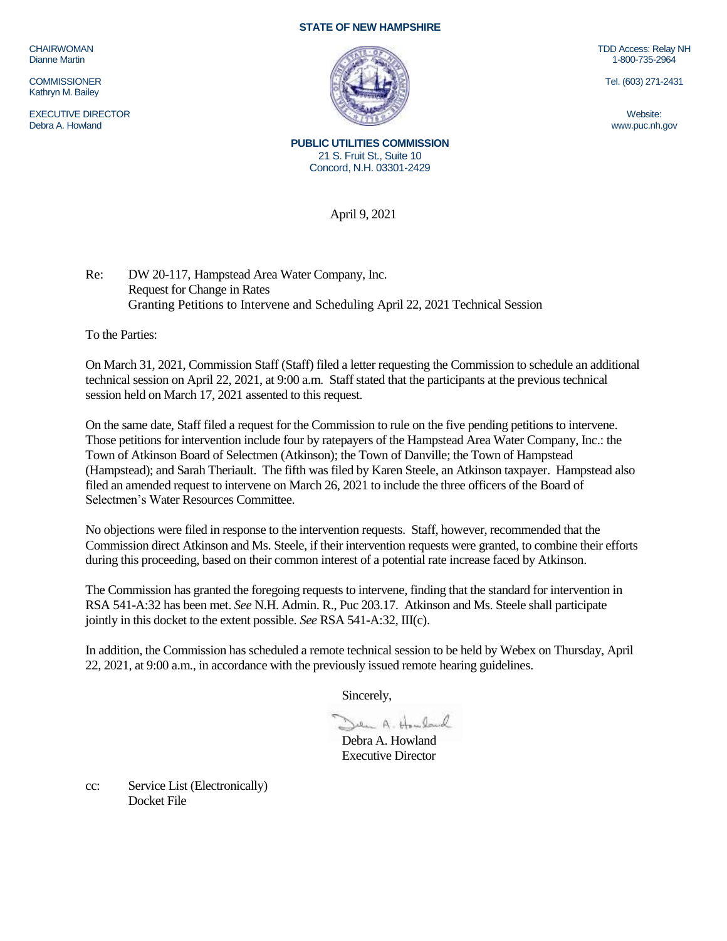CHAIRWOMAN Dianne Martin

**COMMISSIONER** Kathryn M. Bailey

EXECUTIVE DIRECTOR Debra A. Howland

## **STATE OF NEW HAMPSHIRE**



TDD Access: Relay NH 1-800-735-2964

Tel. (603) 271-2431

**PUBLIC UTILITIES COMMISSION** 21 S. Fruit St., Suite 10 Concord, N.H. 03301-2429

April 9, 2021

Re: DW 20-117, Hampstead Area Water Company, Inc. Request for Change in Rates Granting Petitions to Intervene and Scheduling April 22, 2021 Technical Session

To the Parties:

On March 31, 2021, Commission Staff (Staff) filed a letter requesting the Commission to schedule an additional technical session on April 22, 2021, at 9:00 a.m. Staff stated that the participants at the previous technical session held on March 17, 2021 assented to this request.

On the same date, Staff filed a request for the Commission to rule on the five pending petitions to intervene. Those petitions for intervention include four by ratepayers of the Hampstead Area Water Company, Inc.: the Town of Atkinson Board of Selectmen (Atkinson); the Town of Danville; the Town of Hampstead (Hampstead); and Sarah Theriault. The fifth was filed by Karen Steele, an Atkinson taxpayer. Hampstead also filed an amended request to intervene on March 26, 2021 to include the three officers of the Board of Selectmen's Water Resources Committee.

No objections were filed in response to the intervention requests. Staff, however, recommended that the Commission direct Atkinson and Ms. Steele, if their intervention requests were granted, to combine their efforts during this proceeding, based on their common interest of a potential rate increase faced by Atkinson.

The Commission has granted the foregoing requests to intervene, finding that the standard for intervention in RSA 541-A:32 has been met. *See* N.H. Admin. R., Puc 203.17. Atkinson and Ms. Steele shall participate jointly in this docket to the extent possible. *See* RSA 541-A:32, III(c).

In addition, the Commission has scheduled a remote technical session to be held by Webex on Thursday, April 22, 2021, at 9:00 a.m., in accordance with the previously issued remote hearing guidelines.

Sincerely,

Den A. Howland

Debra A. Howland Executive Director

cc: Service List (Electronically) Docket File